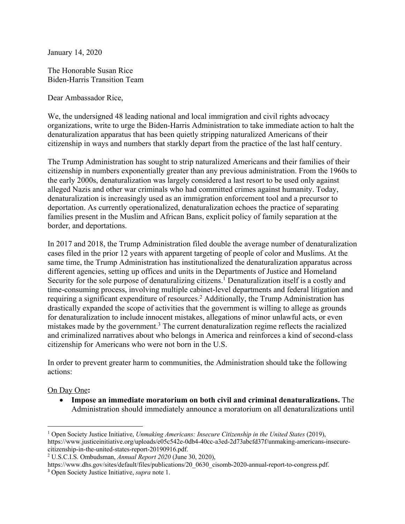January 14, 2020

The Honorable Susan Rice Biden-Harris Transition Team

Dear Ambassador Rice,

We, the undersigned 48 leading national and local immigration and civil rights advocacy organizations, write to urge the Biden-Harris Administration to take immediate action to halt the denaturalization apparatus that has been quietly stripping naturalized Americans of their citizenship in ways and numbers that starkly depart from the practice of the last half century.

The Trump Administration has sought to strip naturalized Americans and their families of their citizenship in numbers exponentially greater than any previous administration. From the 1960s to the early 2000s, denaturalization was largely considered a last resort to be used only against alleged Nazis and other war criminals who had committed crimes against humanity. Today, denaturalization is increasingly used as an immigration enforcement tool and a precursor to deportation. As currently operationalized, denaturalization echoes the practice of separating families present in the Muslim and African Bans, explicit policy of family separation at the border, and deportations.

In 2017 and 2018, the Trump Administration filed double the average number of denaturalization cases filed in the prior 12 years with apparent targeting of people of color and Muslims. At the same time, the Trump Administration has institutionalized the denaturalization apparatus across different agencies, setting up offices and units in the Departments of Justice and Homeland Security for the sole purpose of denaturalizing citizens.<sup>1</sup> Denaturalization itself is a costly and time-consuming process, involving multiple cabinet-level departments and federal litigation and requiring a significant expenditure of resources.2 Additionally, the Trump Administration has drastically expanded the scope of activities that the government is willing to allege as grounds for denaturalization to include innocent mistakes, allegations of minor unlawful acts, or even mistakes made by the government.<sup>3</sup> The current denaturalization regime reflects the racialized and criminalized narratives about who belongs in America and reinforces a kind of second-class citizenship for Americans who were not born in the U.S.

In order to prevent greater harm to communities, the Administration should take the following actions:

## On Day One**:**

• **Impose an immediate moratorium on both civil and criminal denaturalizations.** The Administration should immediately announce a moratorium on all denaturalizations until

<sup>1</sup> Open Society Justice Initiative, *Unmaking Americans: Insecure Citizenship in the United States* (2019), https://www.justiceinitiative.org/uploads/e05c542e-0db4-40cc-a3ed-2d73abcfd37f/unmaking-americans-insecurecitizenship-in-the-united-states-report-20190916.pdf.

<sup>2</sup> U.S.C.I.S. Ombudsman, *Annual Report 2020* (June 30, 2020),

https://www.dhs.gov/sites/default/files/publications/20\_0630\_cisomb-2020-annual-report-to-congress.pdf. <sup>3</sup> Open Society Justice Initiative, *supra* note 1.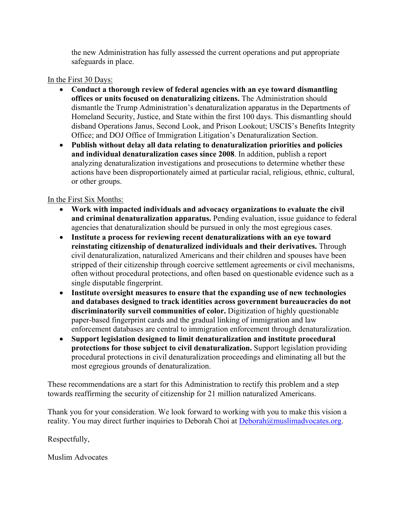the new Administration has fully assessed the current operations and put appropriate safeguards in place.

## In the First 30 Days:

- **Conduct a thorough review of federal agencies with an eye toward dismantling offices or units focused on denaturalizing citizens.** The Administration should dismantle the Trump Administration's denaturalization apparatus in the Departments of Homeland Security, Justice, and State within the first 100 days. This dismantling should disband Operations Janus, Second Look, and Prison Lookout; USCIS's Benefits Integrity Office; and DOJ Office of Immigration Litigation's Denaturalization Section.
- **Publish without delay all data relating to denaturalization priorities and policies and individual denaturalization cases since 2008**. In addition, publish a report analyzing denaturalization investigations and prosecutions to determine whether these actions have been disproportionately aimed at particular racial, religious, ethnic, cultural, or other groups.

## In the First Six Months:

- **Work with impacted individuals and advocacy organizations to evaluate the civil and criminal denaturalization apparatus.** Pending evaluation, issue guidance to federal agencies that denaturalization should be pursued in only the most egregious cases.
- **Institute a process for reviewing recent denaturalizations with an eye toward reinstating citizenship of denaturalized individuals and their derivatives.** Through civil denaturalization, naturalized Americans and their children and spouses have been stripped of their citizenship through coercive settlement agreements or civil mechanisms, often without procedural protections, and often based on questionable evidence such as a single disputable fingerprint.
- **Institute oversight measures to ensure that the expanding use of new technologies and databases designed to track identities across government bureaucracies do not discriminatorily surveil communities of color.** Digitization of highly questionable paper-based fingerprint cards and the gradual linking of immigration and law enforcement databases are central to immigration enforcement through denaturalization.
- **Support legislation designed to limit denaturalization and institute procedural protections for those subject to civil denaturalization.** Support legislation providing procedural protections in civil denaturalization proceedings and eliminating all but the most egregious grounds of denaturalization.

These recommendations are a start for this Administration to rectify this problem and a step towards reaffirming the security of citizenship for 21 million naturalized Americans.

Thank you for your consideration. We look forward to working with you to make this vision a reality. You may direct further inquiries to Deborah Choi at Deborah@muslimadvocates.org.

Respectfully,

Muslim Advocates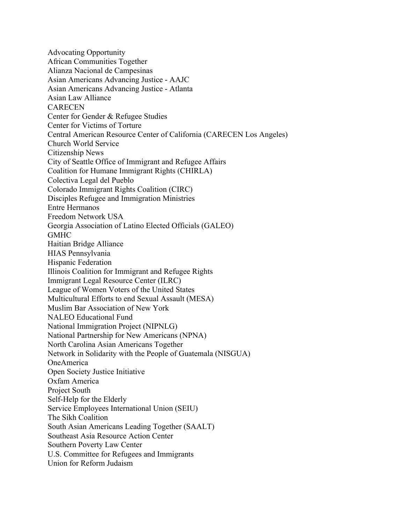Advocating Opportunity African Communities Together Alianza Nacional de Campesinas Asian Americans Advancing Justice - AAJC Asian Americans Advancing Justice - Atlanta Asian Law Alliance **CARECEN** Center for Gender & Refugee Studies Center for Victims of Torture Central American Resource Center of California (CARECEN Los Angeles) Church World Service Citizenship News City of Seattle Office of Immigrant and Refugee Affairs Coalition for Humane Immigrant Rights (CHIRLA) Colectiva Legal del Pueblo Colorado Immigrant Rights Coalition (CIRC) Disciples Refugee and Immigration Ministries Entre Hermanos Freedom Network USA Georgia Association of Latino Elected Officials (GALEO) GMHC Haitian Bridge Alliance HIAS Pennsylvania Hispanic Federation Illinois Coalition for Immigrant and Refugee Rights Immigrant Legal Resource Center (ILRC) League of Women Voters of the United States Multicultural Efforts to end Sexual Assault (MESA) Muslim Bar Association of New York NALEO Educational Fund National Immigration Project (NIPNLG) National Partnership for New Americans (NPNA) North Carolina Asian Americans Together Network in Solidarity with the People of Guatemala (NISGUA) OneAmerica Open Society Justice Initiative Oxfam America Project South Self-Help for the Elderly Service Employees International Union (SEIU) The Sikh Coalition South Asian Americans Leading Together (SAALT) Southeast Asia Resource Action Center Southern Poverty Law Center U.S. Committee for Refugees and Immigrants Union for Reform Judaism